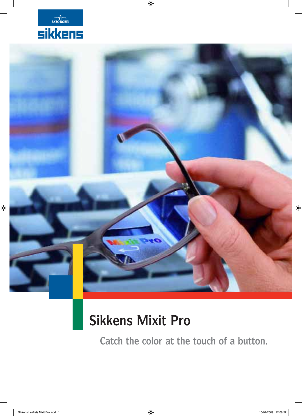



 $\bigoplus$ 

# **Sikkens Mixit Pro**

**Catch the color at the touch of a button.**

 $\bigoplus$ 

 $\bigoplus$